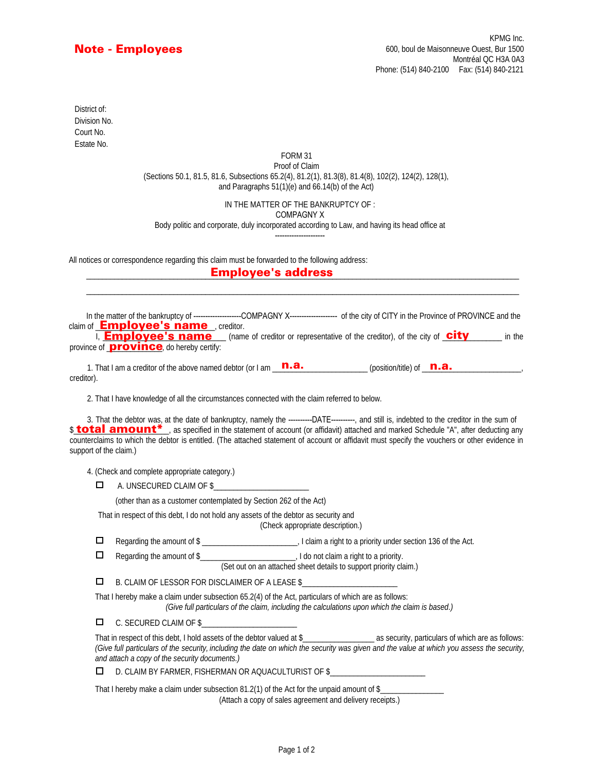## Note - Employees

Estate No. Court No. District of: Division No.

#### FORM 31 Proof of Claim (Sections 50.1, 81.5, 81.6, Subsections 65.2(4), 81.2(1), 81.3(8), 81.4(8), 102(2), 124(2), 128(1), and Paragraphs 51(1)(e) and 66.14(b) of the Act)

### IN THE MATTER OF THE BANKRUPTCY OF :

COMPAGNY X

#### Body politic and corporate, duly incorporated according to Law, and having its head office at

---------------------

\_\_\_\_\_\_\_\_\_\_\_\_\_\_\_\_\_\_\_\_\_\_\_\_\_\_\_\_\_\_\_\_\_\_\_\_\_\_\_\_\_\_\_\_\_\_\_\_\_\_\_\_\_\_\_\_\_\_\_\_\_\_\_\_\_\_\_\_\_\_\_\_\_\_\_\_\_\_\_\_\_\_\_\_\_\_\_\_\_\_\_\_\_\_\_\_\_\_\_\_\_\_\_\_\_\_\_\_\_

All notices or correspondence regarding this claim must be forwarded to the following address:

### \_\_\_\_\_\_\_\_\_\_\_\_\_\_\_\_\_\_\_\_\_\_\_\_\_\_\_\_\_\_\_\_\_\_\_\_\_\_\_\_\_\_\_\_\_\_\_\_\_\_\_\_\_\_\_\_\_\_\_\_\_\_\_\_\_\_\_\_\_\_\_\_\_\_\_\_\_\_\_\_\_\_\_\_\_\_\_\_\_\_\_\_\_\_\_\_\_\_\_\_\_\_\_\_\_\_\_\_\_ Employee's address

In the matter of the bankruptcy of --------------------COMPAGNY X------------------- of the city of CITY in the Province of PROVINCE and the claim of **Employee's name** creditor.

I, **Employee's name** (name of creditor or representative of the creditor), of the city of **city** in the province of **province**, do hereby certify:

1. That I am a creditor of the above named debtor (or I am  $\frac{\textsf{n.a.}}{\textsf{n.a.}}$ creditor). (position/title) of **n.a.** 

2. That I have knowledge of all the circumstances connected with the claim referred to below.

3. That the debtor was, at the date of bankruptcy, namely the ----------DATE----------, and still is, indebted to the creditor in the sum of **s total amount\***, as specified in the statement of account (or affidavit) attached and marked Schedule "A", after deducting any counterclaims to which the debtor is entitled. (The attached statement of account or affidavit must specify the vouchers or other evidence in support of the claim.)

4. (Check and complete appropriate category.)

 $\Box$ A. UNSECURED CLAIM OF \$

(other than as a customer contemplated by Section 262 of the Act)

That in respect of this debt, I do not hold any assets of the debtor as security and

(Check appropriate description.)

 $\Box$ Regarding the amount of \$

| Regarding the amount of \$ |  |  |  |  |  | , I do not claim a right to a priority. |  |  |  |
|----------------------------|--|--|--|--|--|-----------------------------------------|--|--|--|
|                            |  |  |  |  |  |                                         |  |  |  |

(Set out on an attached sheet details to support priority claim.)

 $\Box$  B. CLAIM OF LESSOR FOR DISCLAIMER OF A LEASE \$

That I hereby make a claim under subsection 65.2(4) of the Act, particulars of which are as follows:

*(Give full particulars of the claim, including the calculations upon which the claim is based.)*

C. SECURED CLAIM OF \$\_\_\_\_\_\_\_\_\_\_\_\_\_\_\_\_\_\_\_\_\_\_\_\_

That in respect of this debt, I hold assets of the debtor valued at \$\_\_\_\_\_\_\_\_\_\_\_\_\_\_\_\_\_\_ as security, particulars of which are as follows: *(Give full particulars of the security, including the date on which the security was given and the value at which you assess the security, and attach a copy of the security documents.)*

 $\Box$ D. CLAIM BY FARMER, FISHERMAN OR AQUACULTURIST OF \$

That I hereby make a claim under subsection 81.2(1) of the Act for the unpaid amount of \$ (Attach a copy of sales agreement and delivery receipts.)